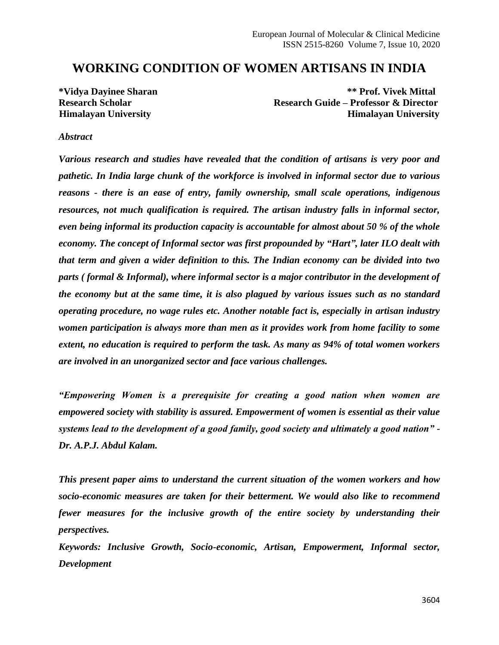# **WORKING CONDITION OF WOMEN ARTISANS IN INDIA**

**\*Vidya Dayinee Sharan \*\* Prof. Vivek Mittal Research Scholar Research Guide – Professor & Director Himalayan University Himalayan University**

#### *Abstract*

*Various research and studies have revealed that the condition of artisans is very poor and pathetic. In India large chunk of the workforce is involved in informal sector due to various reasons - there is an ease of entry, family ownership, small scale operations, indigenous resources, not much qualification is required. The artisan industry falls in informal sector, even being informal its production capacity is accountable for almost about 50 % of the whole economy. The concept of Informal sector was first propounded by "Hart", later ILO dealt with that term and given a wider definition to this. The Indian economy can be divided into two parts ( formal & Informal), where informal sector is a major contributor in the development of the economy but at the same time, it is also plagued by various issues such as no standard operating procedure, no wage rules etc. Another notable fact is, especially in artisan industry women participation is always more than men as it provides work from home facility to some extent, no education is required to perform the task. As many as 94% of total women workers are involved in an unorganized sector and face various challenges.*

*"Empowering Women is a prerequisite for creating a good nation when women are empowered society with stability is assured. Empowerment of women is essential as their value systems lead to the development of a good family, good society and ultimately a good nation" - Dr. A.P.J. Abdul Kalam.*

*This present paper aims to understand the current situation of the women workers and how socio-economic measures are taken for their betterment. We would also like to recommend fewer measures for the inclusive growth of the entire society by understanding their perspectives.*

*Keywords: Inclusive Growth, Socio-economic, Artisan, Empowerment, Informal sector, Development*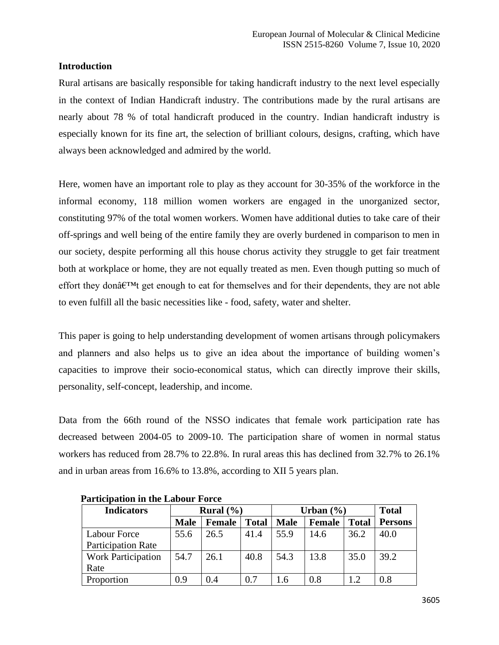# **Introduction**

Rural artisans are basically responsible for taking handicraft industry to the next level especially in the context of Indian Handicraft industry. The contributions made by the rural artisans are nearly about 78 % of total handicraft produced in the country. Indian handicraft industry is especially known for its fine art, the selection of brilliant colours, designs, crafting, which have always been acknowledged and admired by the world.

Here, women have an important role to play as they account for 30-35% of the workforce in the informal economy, 118 million women workers are engaged in the unorganized sector, constituting 97% of the total women workers. Women have additional duties to take care of their off-springs and well being of the entire family they are overly burdened in comparison to men in our society, despite performing all this house chorus activity they struggle to get fair treatment both at workplace or home, they are not equally treated as men. Even though putting so much of effort they don $\hat{\mathfrak{g}}$ <sup> $\mathsf{TM}$ </sup> get enough to eat for themselves and for their dependents, they are not able to even fulfill all the basic necessities like - food, safety, water and shelter.

This paper is going to help understanding development of women artisans through policymakers and planners and also helps us to give an idea about the importance of building women's capacities to improve their socio-economical status, which can directly improve their skills, personality, self-concept, leadership, and income.

Data from the 66th round of the NSSO indicates that female work participation rate has decreased between 2004-05 to 2009-10. The participation share of women in normal status workers has reduced from 28.7% to 22.8%. In rural areas this has declined from 32.7% to 26.1% and in urban areas from 16.6% to 13.8%, according to XII 5 years plan.

| <b>Indicators</b>         | Rural $(\% )$ |               |              | Urban $(\% )$ |               |              | <b>Total</b>   |
|---------------------------|---------------|---------------|--------------|---------------|---------------|--------------|----------------|
|                           | <b>Male</b>   | <b>Female</b> | <b>Total</b> | <b>Male</b>   | <b>Female</b> | <b>Total</b> | <b>Persons</b> |
| Labour Force              | 55.6          | 26.5          | 41.4         | 55.9          | 14.6          | 36.2         | 40.0           |
| <b>Participation Rate</b> |               |               |              |               |               |              |                |
| <b>Work Participation</b> | 54.7          | 26.1          | 40.8         | 54.3          | 13.8          | 35.0         | 39.2           |
| Rate                      |               |               |              |               |               |              |                |
| Proportion                | 0.9           | 0.4           | 0.7          | l.6           | 0.8           |              | 0.8            |

 **Participation in the Labour Force**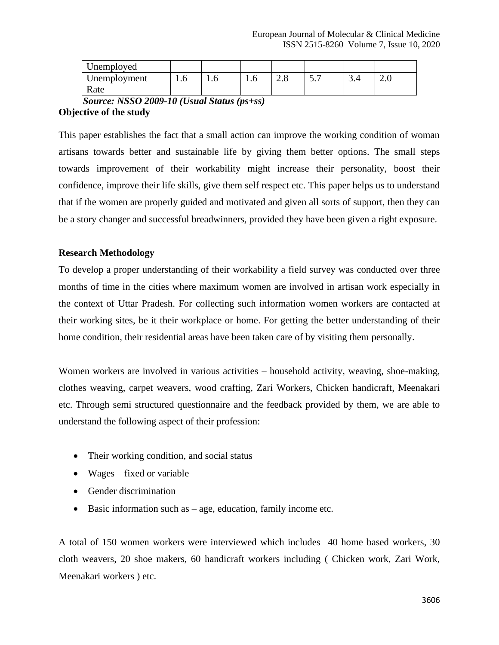| Unemployed           |     |     |     |                               |     |                |     |
|----------------------|-----|-----|-----|-------------------------------|-----|----------------|-----|
| Unemployment<br>Rate | 1.V | 1.0 | 1.V | $\cap$ $\circ$<br>$\angle$ .0 | ◡ ・ | $\sqrt{2}$<br> | ∠.∪ |

 *Source: NSSO 2009-10 (Usual Status (ps+ss)* **Objective of the study**

This paper establishes the fact that a small action can improve the working condition of woman artisans towards better and sustainable life by giving them better options. The small steps towards improvement of their workability might increase their personality, boost their confidence, improve their life skills, give them self respect etc. This paper helps us to understand that if the women are properly guided and motivated and given all sorts of support, then they can be a story changer and successful breadwinners, provided they have been given a right exposure.

# **Research Methodology**

To develop a proper understanding of their workability a field survey was conducted over three months of time in the cities where maximum women are involved in artisan work especially in the context of Uttar Pradesh. For collecting such information women workers are contacted at their working sites, be it their workplace or home. For getting the better understanding of their home condition, their residential areas have been taken care of by visiting them personally.

Women workers are involved in various activities – household activity, weaving, shoe-making, clothes weaving, carpet weavers, wood crafting, Zari Workers, Chicken handicraft, Meenakari etc. Through semi structured questionnaire and the feedback provided by them, we are able to understand the following aspect of their profession:

- Their working condition, and social status
- Wages fixed or variable
- Gender discrimination
- Basic information such as age, education, family income etc.

A total of 150 women workers were interviewed which includes 40 home based workers, 30 cloth weavers, 20 shoe makers, 60 handicraft workers including ( Chicken work, Zari Work, Meenakari workers ) etc.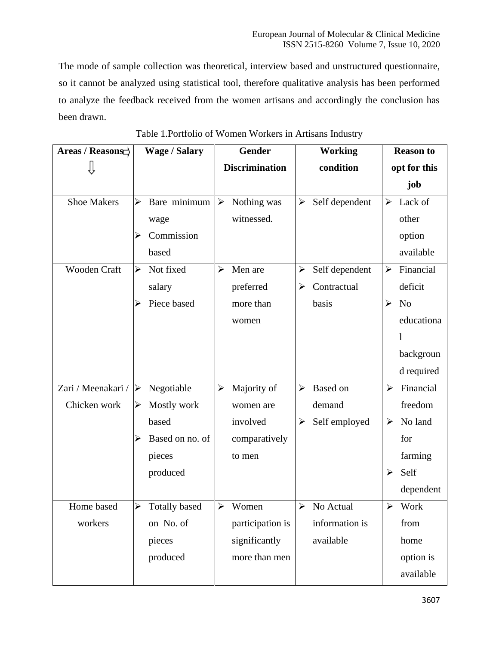The mode of sample collection was theoretical, interview based and unstructured questionnaire, so it cannot be analyzed using statistical tool, therefore qualitative analysis has been performed to analyze the feedback received from the women artisans and accordingly the conclusion has been drawn.

| Areas / Reasons    |                       | <b>Wage / Salary</b> | Gender                |                  | <b>Working</b>        |                            | <b>Reason to</b>      |                |
|--------------------|-----------------------|----------------------|-----------------------|------------------|-----------------------|----------------------------|-----------------------|----------------|
|                    |                       |                      | <b>Discrimination</b> |                  | condition             |                            | opt for this          |                |
|                    |                       |                      |                       |                  |                       |                            |                       | job            |
| <b>Shoe Makers</b> | ➤                     | Bare minimum         | $\blacktriangleright$ | Nothing was      | $\blacktriangleright$ | Self dependent             | ➤                     | Lack of        |
|                    |                       | wage                 |                       | witnessed.       |                       |                            |                       | other          |
|                    |                       | Commission           |                       |                  |                       |                            |                       | option         |
|                    |                       | based                |                       |                  |                       |                            |                       | available      |
| Wooden Craft       | $\blacktriangleright$ | Not fixed            | $\blacktriangleright$ | Men are          | ➤                     | Self dependent             | $\blacktriangleright$ | Financial      |
|                    |                       | salary               |                       | preferred        | $\blacktriangleright$ | Contractual                |                       | deficit        |
|                    |                       | Piece based          |                       | more than        |                       | basis                      | ➤                     | N <sub>o</sub> |
|                    |                       |                      |                       | women            |                       |                            |                       | educationa     |
|                    |                       |                      |                       |                  |                       |                            |                       | 1              |
|                    |                       |                      |                       |                  |                       |                            |                       | backgroun      |
|                    |                       |                      |                       |                  |                       |                            |                       | d required     |
| Zari / Meenakari / | $\blacktriangle$      | Negotiable           | ≻                     | Majority of      | $\blacktriangleright$ | <b>Based</b> on            | $\blacktriangleright$ | Financial      |
| Chicken work       | ➤                     | Mostly work          |                       | women are        |                       | demand                     |                       | freedom        |
|                    |                       | based                |                       | involved         | ➤                     | Self employed              | ≻                     | No land        |
|                    |                       | Based on no. of      |                       | comparatively    |                       |                            |                       | for            |
|                    |                       | pieces               |                       | to men           |                       |                            |                       | farming        |
|                    |                       | produced             |                       |                  |                       |                            | ➤                     | Self           |
|                    |                       |                      |                       |                  |                       |                            |                       | dependent      |
| Home based         | $\blacktriangleright$ | <b>Totally based</b> | $\blacktriangleright$ | Women            |                       | $\triangleright$ No Actual | $\blacktriangleright$ | Work           |
| workers            |                       | on No. of            |                       | participation is |                       | information is             |                       | from           |
|                    |                       | pieces               |                       | significantly    |                       | available                  |                       | home           |
|                    |                       | produced             |                       | more than men    |                       |                            |                       | option is      |
|                    |                       |                      |                       |                  |                       |                            |                       | available      |

Table 1.Portfolio of Women Workers in Artisans Industry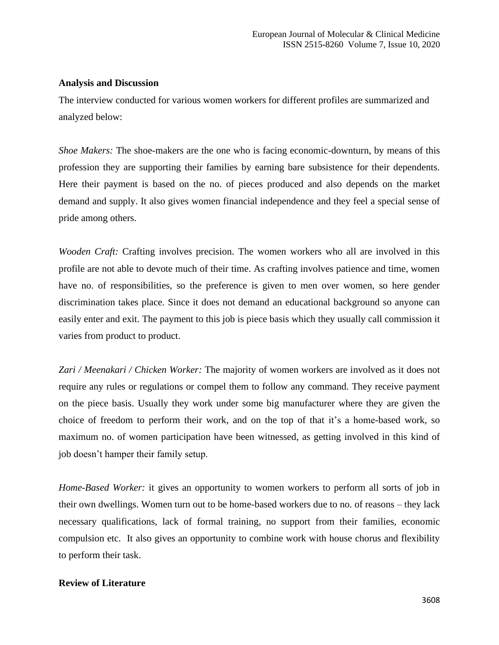### **Analysis and Discussion**

The interview conducted for various women workers for different profiles are summarized and analyzed below:

*Shoe Makers:* The shoe-makers are the one who is facing economic-downturn, by means of this profession they are supporting their families by earning bare subsistence for their dependents. Here their payment is based on the no. of pieces produced and also depends on the market demand and supply. It also gives women financial independence and they feel a special sense of pride among others.

*Wooden Craft:* Crafting involves precision. The women workers who all are involved in this profile are not able to devote much of their time. As crafting involves patience and time, women have no. of responsibilities, so the preference is given to men over women, so here gender discrimination takes place. Since it does not demand an educational background so anyone can easily enter and exit. The payment to this job is piece basis which they usually call commission it varies from product to product.

*Zari / Meenakari / Chicken Worker:* The majority of women workers are involved as it does not require any rules or regulations or compel them to follow any command. They receive payment on the piece basis. Usually they work under some big manufacturer where they are given the choice of freedom to perform their work, and on the top of that it's a home-based work, so maximum no. of women participation have been witnessed, as getting involved in this kind of job doesn't hamper their family setup.

*Home-Based Worker:* it gives an opportunity to women workers to perform all sorts of job in their own dwellings. Women turn out to be home-based workers due to no. of reasons – they lack necessary qualifications, lack of formal training, no support from their families, economic compulsion etc. It also gives an opportunity to combine work with house chorus and flexibility to perform their task.

## **Review of Literature**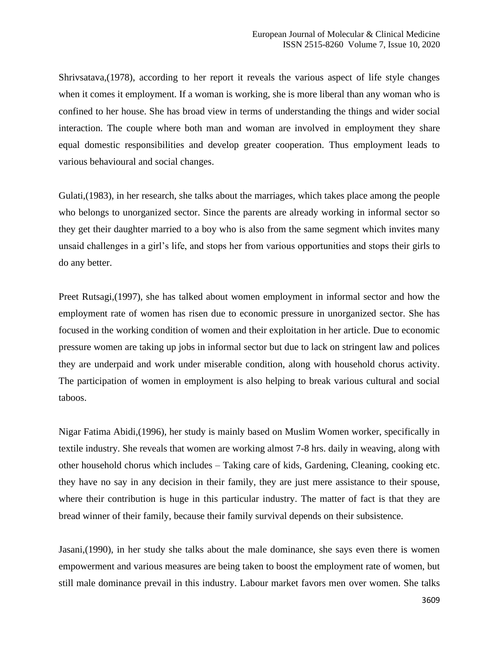Shrivsatava,(1978), according to her report it reveals the various aspect of life style changes when it comes it employment. If a woman is working, she is more liberal than any woman who is confined to her house. She has broad view in terms of understanding the things and wider social interaction. The couple where both man and woman are involved in employment they share equal domestic responsibilities and develop greater cooperation. Thus employment leads to various behavioural and social changes.

Gulati,(1983), in her research, she talks about the marriages, which takes place among the people who belongs to unorganized sector. Since the parents are already working in informal sector so they get their daughter married to a boy who is also from the same segment which invites many unsaid challenges in a girl's life, and stops her from various opportunities and stops their girls to do any better.

Preet Rutsagi,(1997), she has talked about women employment in informal sector and how the employment rate of women has risen due to economic pressure in unorganized sector. She has focused in the working condition of women and their exploitation in her article. Due to economic pressure women are taking up jobs in informal sector but due to lack on stringent law and polices they are underpaid and work under miserable condition, along with household chorus activity. The participation of women in employment is also helping to break various cultural and social taboos.

Nigar Fatima Abidi,(1996), her study is mainly based on Muslim Women worker, specifically in textile industry. She reveals that women are working almost 7-8 hrs. daily in weaving, along with other household chorus which includes – Taking care of kids, Gardening, Cleaning, cooking etc. they have no say in any decision in their family, they are just mere assistance to their spouse, where their contribution is huge in this particular industry. The matter of fact is that they are bread winner of their family, because their family survival depends on their subsistence.

Jasani,(1990), in her study she talks about the male dominance, she says even there is women empowerment and various measures are being taken to boost the employment rate of women, but still male dominance prevail in this industry. Labour market favors men over women. She talks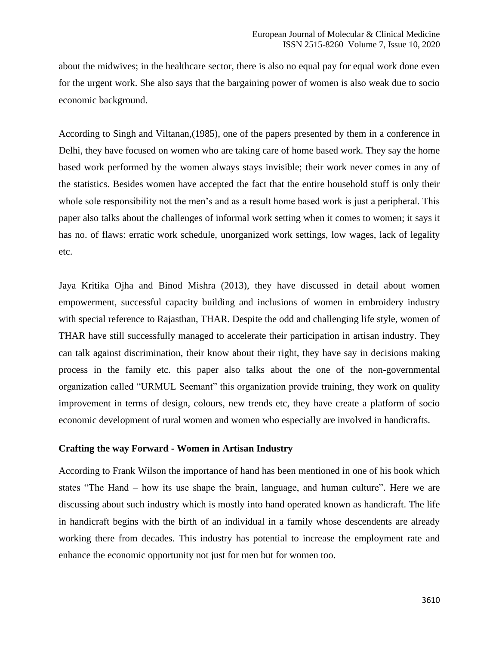about the midwives; in the healthcare sector, there is also no equal pay for equal work done even for the urgent work. She also says that the bargaining power of women is also weak due to socio economic background.

According to Singh and Viltanan,(1985), one of the papers presented by them in a conference in Delhi, they have focused on women who are taking care of home based work. They say the home based work performed by the women always stays invisible; their work never comes in any of the statistics. Besides women have accepted the fact that the entire household stuff is only their whole sole responsibility not the men's and as a result home based work is just a peripheral. This paper also talks about the challenges of informal work setting when it comes to women; it says it has no. of flaws: erratic work schedule, unorganized work settings, low wages, lack of legality etc.

Jaya Kritika Ojha and Binod Mishra (2013), they have discussed in detail about women empowerment, successful capacity building and inclusions of women in embroidery industry with special reference to Rajasthan, THAR. Despite the odd and challenging life style, women of THAR have still successfully managed to accelerate their participation in artisan industry. They can talk against discrimination, their know about their right, they have say in decisions making process in the family etc. this paper also talks about the one of the non-governmental organization called "URMUL Seemant" this organization provide training, they work on quality improvement in terms of design, colours, new trends etc, they have create a platform of socio economic development of rural women and women who especially are involved in handicrafts.

#### **Crafting the way Forward - Women in Artisan Industry**

According to Frank Wilson the importance of hand has been mentioned in one of his book which states "The Hand – how its use shape the brain, language, and human culture". Here we are discussing about such industry which is mostly into hand operated known as handicraft. The life in handicraft begins with the birth of an individual in a family whose descendents are already working there from decades. This industry has potential to increase the employment rate and enhance the economic opportunity not just for men but for women too.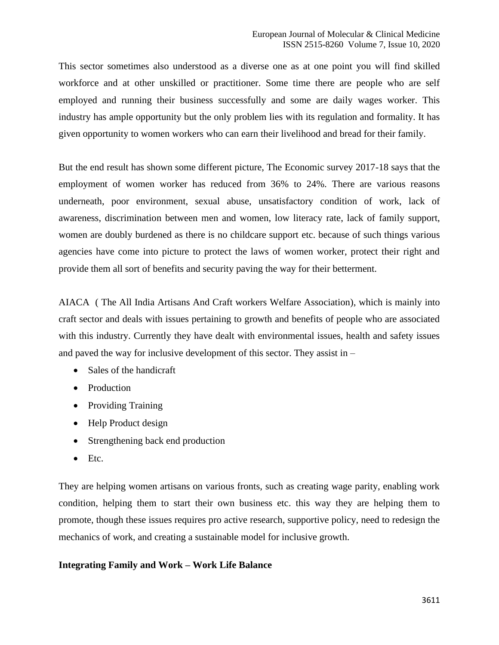This sector sometimes also understood as a diverse one as at one point you will find skilled workforce and at other unskilled or practitioner. Some time there are people who are self employed and running their business successfully and some are daily wages worker. This industry has ample opportunity but the only problem lies with its regulation and formality. It has given opportunity to women workers who can earn their livelihood and bread for their family.

But the end result has shown some different picture, The Economic survey 2017-18 says that the employment of women worker has reduced from 36% to 24%. There are various reasons underneath, poor environment, sexual abuse, unsatisfactory condition of work, lack of awareness, discrimination between men and women, low literacy rate, lack of family support, women are doubly burdened as there is no childcare support etc. because of such things various agencies have come into picture to protect the laws of women worker, protect their right and provide them all sort of benefits and security paving the way for their betterment.

AIACA ( The All India Artisans And Craft workers Welfare Association), which is mainly into craft sector and deals with issues pertaining to growth and benefits of people who are associated with this industry. Currently they have dealt with environmental issues, health and safety issues and paved the way for inclusive development of this sector. They assist in –

- Sales of the handicraft
- Production
- Providing Training
- Help Product design
- Strengthening back end production
- Etc.

They are helping women artisans on various fronts, such as creating wage parity, enabling work condition, helping them to start their own business etc. this way they are helping them to promote, though these issues requires pro active research, supportive policy, need to redesign the mechanics of work, and creating a sustainable model for inclusive growth.

## **Integrating Family and Work – Work Life Balance**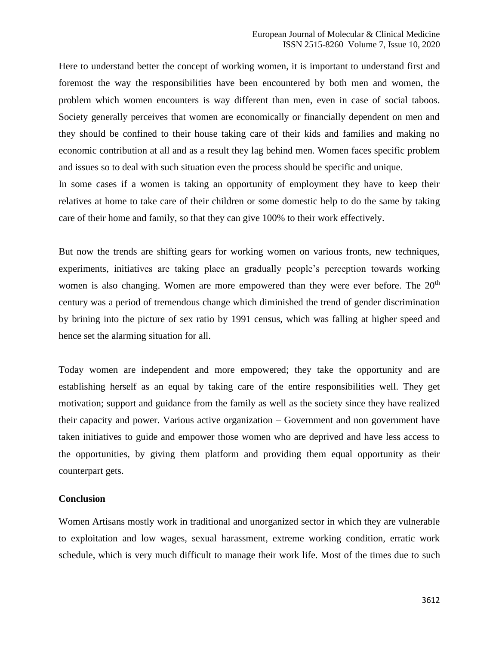Here to understand better the concept of working women, it is important to understand first and foremost the way the responsibilities have been encountered by both men and women, the problem which women encounters is way different than men, even in case of social taboos. Society generally perceives that women are economically or financially dependent on men and they should be confined to their house taking care of their kids and families and making no economic contribution at all and as a result they lag behind men. Women faces specific problem and issues so to deal with such situation even the process should be specific and unique.

In some cases if a women is taking an opportunity of employment they have to keep their relatives at home to take care of their children or some domestic help to do the same by taking care of their home and family, so that they can give 100% to their work effectively.

But now the trends are shifting gears for working women on various fronts, new techniques, experiments, initiatives are taking place an gradually people's perception towards working women is also changing. Women are more empowered than they were ever before. The 20<sup>th</sup> century was a period of tremendous change which diminished the trend of gender discrimination by brining into the picture of sex ratio by 1991 census, which was falling at higher speed and hence set the alarming situation for all.

Today women are independent and more empowered; they take the opportunity and are establishing herself as an equal by taking care of the entire responsibilities well. They get motivation; support and guidance from the family as well as the society since they have realized their capacity and power. Various active organization – Government and non government have taken initiatives to guide and empower those women who are deprived and have less access to the opportunities, by giving them platform and providing them equal opportunity as their counterpart gets.

#### **Conclusion**

Women Artisans mostly work in traditional and unorganized sector in which they are vulnerable to exploitation and low wages, sexual harassment, extreme working condition, erratic work schedule, which is very much difficult to manage their work life. Most of the times due to such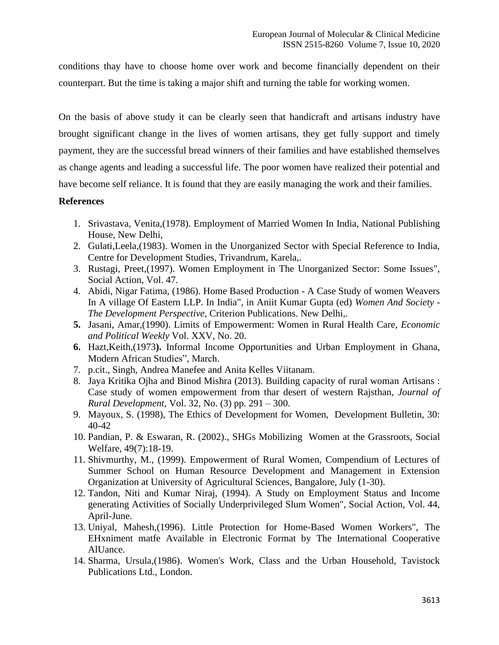conditions thay have to choose home over work and become financially dependent on their counterpart. But the time is taking a major shift and turning the table for working women.

On the basis of above study it can be clearly seen that handicraft and artisans industry have brought significant change in the lives of women artisans, they get fully support and timely payment, they are the successful bread winners of their families and have established themselves as change agents and leading a successful life. The poor women have realized their potential and have become self reliance. It is found that they are easily managing the work and their families.

#### **References**

- 1. Srivastava, Venita,(1978). Employment of Married Women In India, National Publishing House, New Delhi,
- 2. Gulati,Leela,(1983). Women in the Unorganized Sector with Special Reference to India, Centre for Development Studies, Trivandrum, Karela,.
- 3. Rustagi, Preet,(1997). Women Employment in The Unorganized Sector: Some Issues", Social Action, Vol. 47.
- 4. Abidi, Nigar Fatima, (1986). Home Based Production A Case Study of women Weavers In A village Of Eastern LLP. In India", in Aniit Kumar Gupta (ed) *Women And Society - The Development Perspective*, Criterion Publications. New Delhi,.
- **5.** Jasani, Amar,(1990). Limits of Empowerment: Women in Rural Health Care, *Economic and Political Weekly* Vol. XXV, No. 20.
- **6.** Hazt,Keith,(1973**).** Informal Income Opportunities and Urban Employment in Ghana, Modern African Studies", March.
- 7. p.cit., Singh, Andrea Manefee and Anita Kelles Viitanam.
- 8. Jaya Kritika Ojha and Binod Mishra (2013). Building capacity of rural woman Artisans : Case study of women empowerment from thar desert of western Rajsthan, *Journal of Rural Development,* Vol. 32, No. (3) pp. 291 – 300.
- 9. Mayoux, S. (1998), The Ethics of Development for Women, Development Bulletin, 30: 40-42
- 10. Pandian, P. & Eswaran, R. (2002)., SHGs Mobilizing Women at the Grassroots, Social Welfare, 49(7):18-19.
- 11. Shivmurthy, M., (1999). Empowerment of Rural Women, Compendium of Lectures of Summer School on Human Resource Development and Management in Extension Organization at University of Agricultural Sciences, Bangalore, July (1-30).
- 12. Tandon, Niti and Kumar Niraj, (1994). A Study on Employment Status and Income generating Activities of Socially Underprivileged Slum Women", Social Action, Vol. 44, April-June.
- 13. Uniyal, Mahesh,(1996). Little Protection for Home-Based Women Workers", The EHxniment matfe Available in Electronic Format by The International Cooperative AlUance.
- 14. Sharma, Ursula,(1986). Women's Work, Class and the Urban Household, Tavistock Publications Ltd., London.